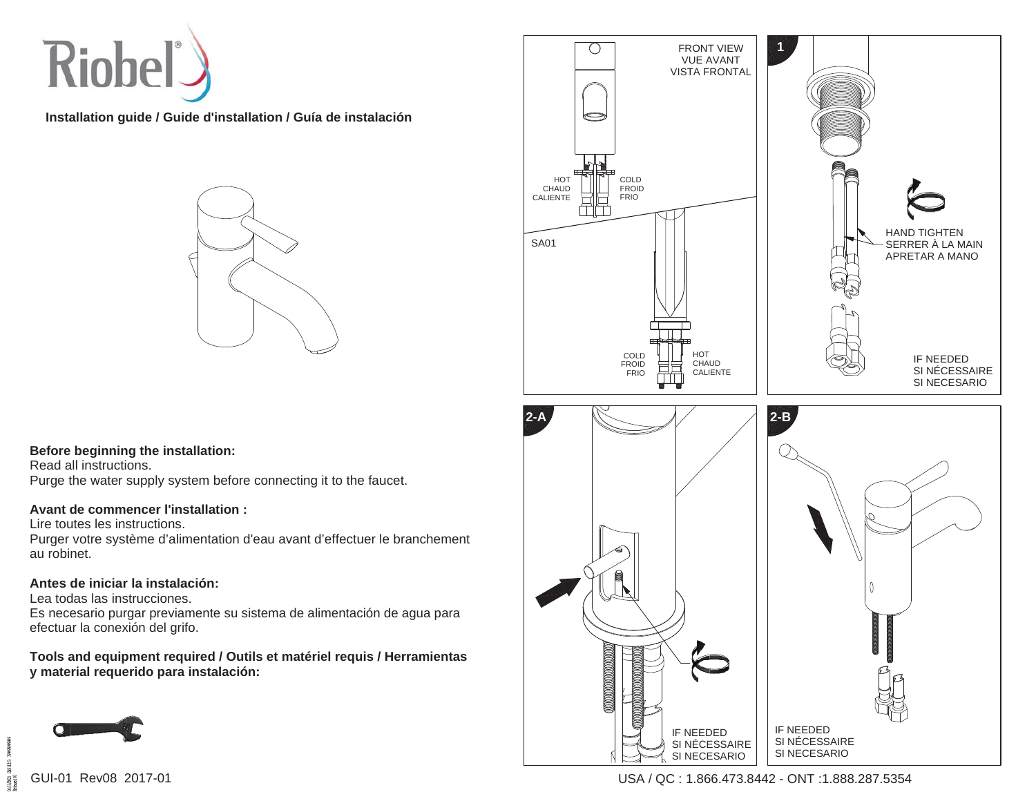

**Installation guide / Guide d'installation / Guía de instalación**



## **Before beginning the installation:**

Read all instructions. Purge the water supply system before connecting it to the faucet.

## **Avant de commencer l'installation :**

Lire toutes les instructions.

Purger votre système d'alimentation d'eau avant d'effectuer le branchement au robinet.

## **Antes de iniciar la instalación:**

Lea todas las instrucciones.

Es necesario purgar previamente su sistema de alimentación de agua para efectuar la conexión del grifo.

**Tools and equipment required / Outils et matériel requis / Herramientas y material requerido para instalación:**





 $113,001$ <br>  $24,000$ 

USA / QC : 1.866.473.8442 - ONT :1.888.287.5354